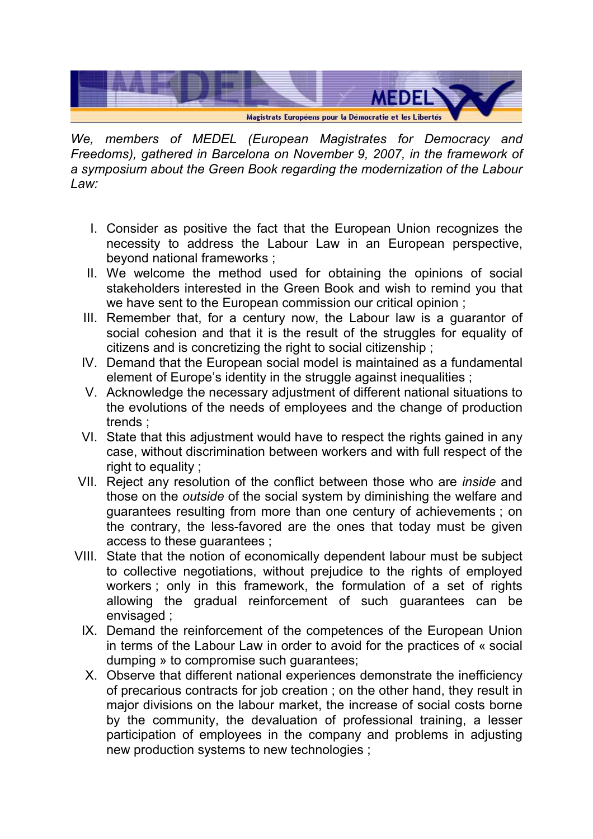

We, members of MEDEL (European Magistrates for Democracy and Freedoms), gathered in Barcelona on November 9, 2007, in the framework of a symposium about the Green Book regarding the modernization of the Labour Law:

- I. Consider as positive the fact that the European Union recognizes the necessity to address the Labour Law in an European perspective, beyond national frameworks ;
- II. We welcome the method used for obtaining the opinions of social stakeholders interested in the Green Book and wish to remind you that we have sent to the European commission our critical opinion ;
- III. Remember that, for a century now, the Labour law is a guarantor of social cohesion and that it is the result of the struggles for equality of citizens and is concretizing the right to social citizenship ;
- IV. Demand that the European social model is maintained as a fundamental element of Europe's identity in the struggle against inequalities :
- V. Acknowledge the necessary adjustment of different national situations to the evolutions of the needs of employees and the change of production trends ;
- VI. State that this adjustment would have to respect the rights gained in any case, without discrimination between workers and with full respect of the right to equality ;
- VII. Reject any resolution of the conflict between those who are inside and those on the outside of the social system by diminishing the welfare and guarantees resulting from more than one century of achievements ; on the contrary, the less-favored are the ones that today must be given access to these guarantees ;
- VIII. State that the notion of economically dependent labour must be subject to collective negotiations, without prejudice to the rights of employed workers : only in this framework, the formulation of a set of rights allowing the gradual reinforcement of such guarantees can be envisaged ;
	- IX. Demand the reinforcement of the competences of the European Union in terms of the Labour Law in order to avoid for the practices of « social dumping » to compromise such guarantees;
	- X. Observe that different national experiences demonstrate the inefficiency of precarious contracts for job creation ; on the other hand, they result in major divisions on the labour market, the increase of social costs borne by the community, the devaluation of professional training, a lesser participation of employees in the company and problems in adjusting new production systems to new technologies ;